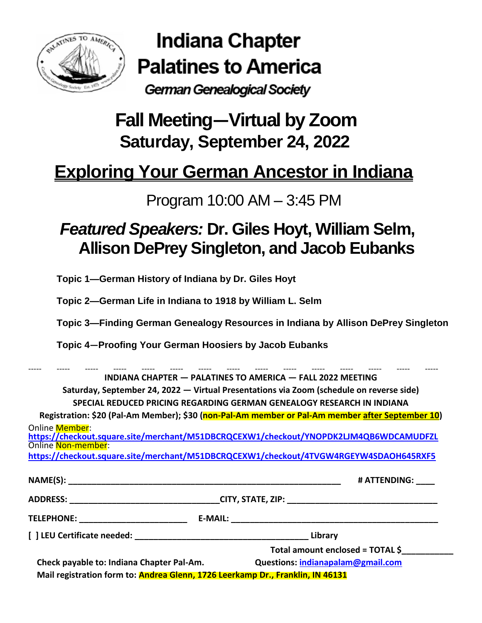

Indiana Chapter **Palatines to America** 

German Genealogical Society

# **Fall Meeting―Virtual by Zoom Saturday, September 24, 2022**

# **Exploring Your German Ancestor in Indiana**

### Program 10:00 AM – 3:45 PM

## *Featured Speakers:* **Dr. Giles Hoyt, William Selm, Allison DePrey Singleton, and Jacob Eubanks**

**Topic 1—German History of Indiana by Dr. Giles Hoyt**

**Topic 2—German Life in Indiana to 1918 by William L. Selm**

**Topic 3—Finding German Genealogy Resources in Indiana by Allison DePrey Singleton**

**Topic 4—Proofing Your German Hoosiers by Jacob Eubanks**

----- ----- ----- ----- ----- ----- ----- ----- ----- ----- ----- ----- ----- ----- ----- **INDIANA CHAPTER — PALATINES TO AMERICA — FALL 2022 MEETING Saturday, September 24, 2022 — Virtual Presentations via Zoom (schedule on reverse side) SPECIAL REDUCED PRICING REGARDING GERMAN GENEALOGY RESEARCH IN INDIANA Registration: \$20 (Pal-Am Member); \$30 (non-Pal-Am member or Pal-Am member after September 10)** Online Member: **<https://checkout.square.site/merchant/M51DBCRQCEXW1/checkout/YNOPDK2LJM4QB6WDCAMUDFZL>** Online Non-member: **<https://checkout.square.site/merchant/M51DBCRQCEXW1/checkout/4TVGW4RGEYW4SDAOH645RXF5> NAME(S): \_\_\_\_\_\_\_\_\_\_\_\_\_\_\_\_\_\_\_\_\_\_\_\_\_\_\_\_\_\_\_\_\_\_\_\_\_\_\_\_\_\_\_\_\_\_\_\_\_\_\_\_\_\_\_\_\_\_ # ATTENDING: \_\_\_\_ ADDRESS: \_\_\_\_\_\_\_\_\_\_\_\_\_\_\_\_\_\_\_\_\_\_\_\_\_\_\_\_\_\_\_\_CITY, STATE, ZIP: \_\_\_\_\_\_\_\_\_\_\_\_\_\_\_\_\_\_\_\_\_\_\_\_\_\_\_\_\_\_\_\_ TELEPHONE: \_\_\_\_\_\_\_\_\_\_\_\_\_\_\_\_\_\_\_\_\_\_\_ E-MAIL: \_\_\_\_\_\_\_\_\_\_\_\_\_\_\_\_\_\_\_\_\_\_\_\_\_\_\_\_\_\_\_\_\_\_\_\_\_\_\_\_\_\_\_\_ [ ] LEU Certificate needed: \_\_\_\_\_\_\_\_\_\_\_\_\_\_\_\_\_\_\_\_\_\_\_\_\_\_\_\_\_\_\_\_\_\_\_\_\_ Library Total amount enclosed = TOTAL \$\_\_\_\_\_\_\_\_\_\_\_ Check payable to: Indiana Chapter Pal-Am. Questions: [indianapalam@gmail.com](mailto:indianapalam@gmail.com)**

 **Mail registration form to: Andrea Glenn, 1726 Leerkamp Dr., Franklin, IN 46131**